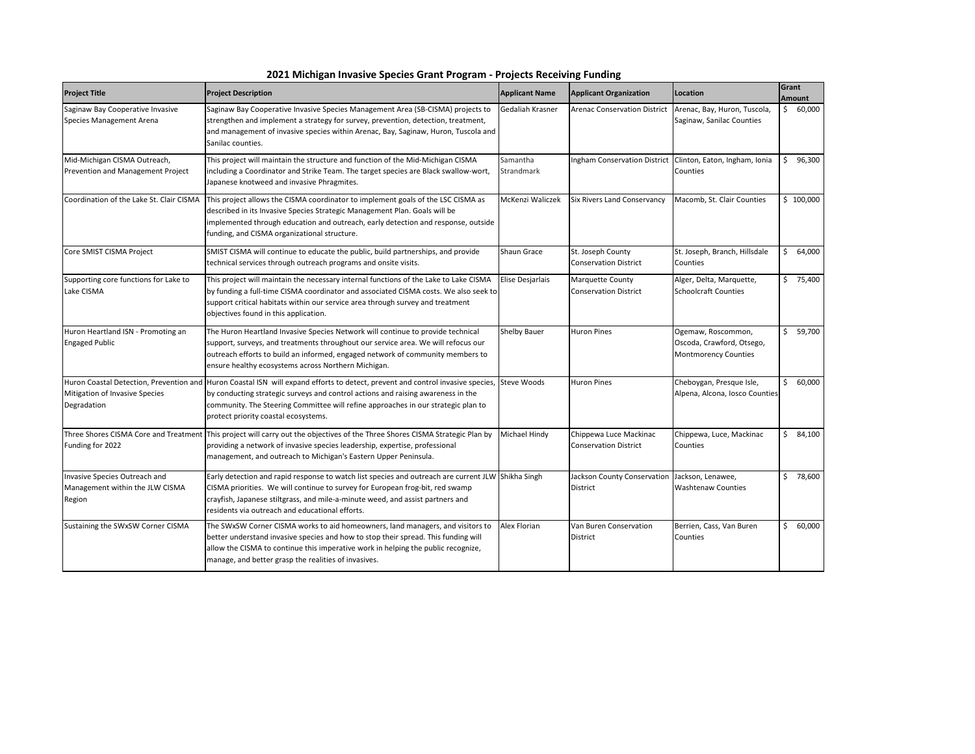| 2021 Michigan Invasive Species Grant Program - Projects Receiving Funding |  |
|---------------------------------------------------------------------------|--|
|---------------------------------------------------------------------------|--|

| <b>Project Title</b>                                                       | <b>Project Description</b>                                                                                                                                                                                                                                                                                                                                  | <b>Applicant Name</b>  | <b>Applicant Organization</b>                                    | Location                                                                       |     | Grant<br><b>Amount</b> |
|----------------------------------------------------------------------------|-------------------------------------------------------------------------------------------------------------------------------------------------------------------------------------------------------------------------------------------------------------------------------------------------------------------------------------------------------------|------------------------|------------------------------------------------------------------|--------------------------------------------------------------------------------|-----|------------------------|
| Saginaw Bay Cooperative Invasive<br>Species Management Arena               | Saginaw Bay Cooperative Invasive Species Management Area (SB-CISMA) projects to<br>strengthen and implement a strategy for survey, prevention, detection, treatment,<br>and management of invasive species within Arenac, Bay, Saginaw, Huron, Tuscola and<br>Sanilac counties.                                                                             | Gedaliah Krasner       | <b>Arenac Conservation District</b>                              | Arenac, Bay, Huron, Tuscola,<br>Saginaw, Sanilac Counties                      |     | \$60,000               |
| Mid-Michigan CISMA Outreach,<br>Prevention and Management Project          | This project will maintain the structure and function of the Mid-Michigan CISMA<br>including a Coordinator and Strike Team. The target species are Black swallow-wort,<br>Japanese knotweed and invasive Phragmites.                                                                                                                                        | Samantha<br>Strandmark |                                                                  | Ingham Conservation District Clinton, Eaton, Ingham, Ionia<br>Counties         | Ŝ.  | 96,300                 |
| Coordination of the Lake St. Clair CISMA                                   | This project allows the CISMA coordinator to implement goals of the LSC CISMA as<br>described in its Invasive Species Strategic Management Plan. Goals will be<br>implemented through education and outreach, early detection and response, outside<br>funding, and CISMA organizational structure.                                                         | McKenzi Waliczek       | Six Rivers Land Conservancy                                      | Macomb, St. Clair Counties                                                     |     | \$100,000              |
| Core SMIST CISMA Project                                                   | SMIST CISMA will continue to educate the public, build partnerships, and provide<br>technical services through outreach programs and onsite visits.                                                                                                                                                                                                         | Shaun Grace            | St. Joseph County<br><b>Conservation District</b>                | St. Joseph, Branch, Hillsdale<br>Counties                                      | \$  | 64,000                 |
| Supporting core functions for Lake to<br>Lake CISMA                        | This project will maintain the necessary internal functions of the Lake to Lake CISMA<br>by funding a full-time CISMA coordinator and associated CISMA costs. We also seek to<br>support critical habitats within our service area through survey and treatment<br>objectives found in this application.                                                    | Elise Desjarlais       | Marquette County<br><b>Conservation District</b>                 | Alger, Delta, Marquette,<br><b>Schoolcraft Counties</b>                        |     | \$75,400               |
| Huron Heartland ISN - Promoting an<br><b>Engaged Public</b>                | The Huron Heartland Invasive Species Network will continue to provide technical<br>support, surveys, and treatments throughout our service area. We will refocus our<br>outreach efforts to build an informed, engaged network of community members to<br>ensure healthy ecosystems across Northern Michigan.                                               | <b>Shelby Bauer</b>    | <b>Huron Pines</b>                                               | Ogemaw, Roscommon,<br>Oscoda, Crawford, Otsego,<br><b>Montmorency Counties</b> |     | \$5, 59,700            |
| Mitigation of Invasive Species<br>Degradation                              | Huron Coastal Detection, Prevention and Huron Coastal ISN will expand efforts to detect, prevent and control invasive species, Steve Woods<br>by conducting strategic surveys and control actions and raising awareness in the<br>community. The Steering Committee will refine approaches in our strategic plan to<br>protect priority coastal ecosystems. |                        | <b>Huron Pines</b>                                               | Cheboygan, Presque Isle,<br>Alpena, Alcona, Iosco Counties                     | Ś.  | 60,000                 |
| Funding for 2022                                                           | Three Shores CISMA Core and Treatment This project will carry out the objectives of the Three Shores CISMA Strategic Plan by<br>providing a network of invasive species leadership, expertise, professional<br>management, and outreach to Michigan's Eastern Upper Peninsula.                                                                              | Michael Hindy          | Chippewa Luce Mackinac<br><b>Conservation District</b>           | Chippewa, Luce, Mackinac<br>Counties                                           | \$. | 84,100                 |
| Invasive Species Outreach and<br>Management within the JLW CISMA<br>Region | Early detection and rapid response to watch list species and outreach are current JLW Shikha Singh<br>CISMA priorities. We will continue to survey for European frog-bit, red swamp<br>crayfish, Japanese stiltgrass, and mile-a-minute weed, and assist partners and<br>residents via outreach and educational efforts.                                    |                        | Jackson County Conservation Jackson, Lenawee,<br><b>District</b> | <b>Washtenaw Counties</b>                                                      |     | \$78,600               |
| Sustaining the SWxSW Corner CISMA                                          | The SWxSW Corner CISMA works to aid homeowners, land managers, and visitors to<br>better understand invasive species and how to stop their spread. This funding will<br>allow the CISMA to continue this imperative work in helping the public recognize,<br>manage, and better grasp the realities of invasives.                                           | Alex Florian           | Van Buren Conservation<br>District                               | Berrien, Cass, Van Buren<br>Counties                                           | Ś.  | 60,000                 |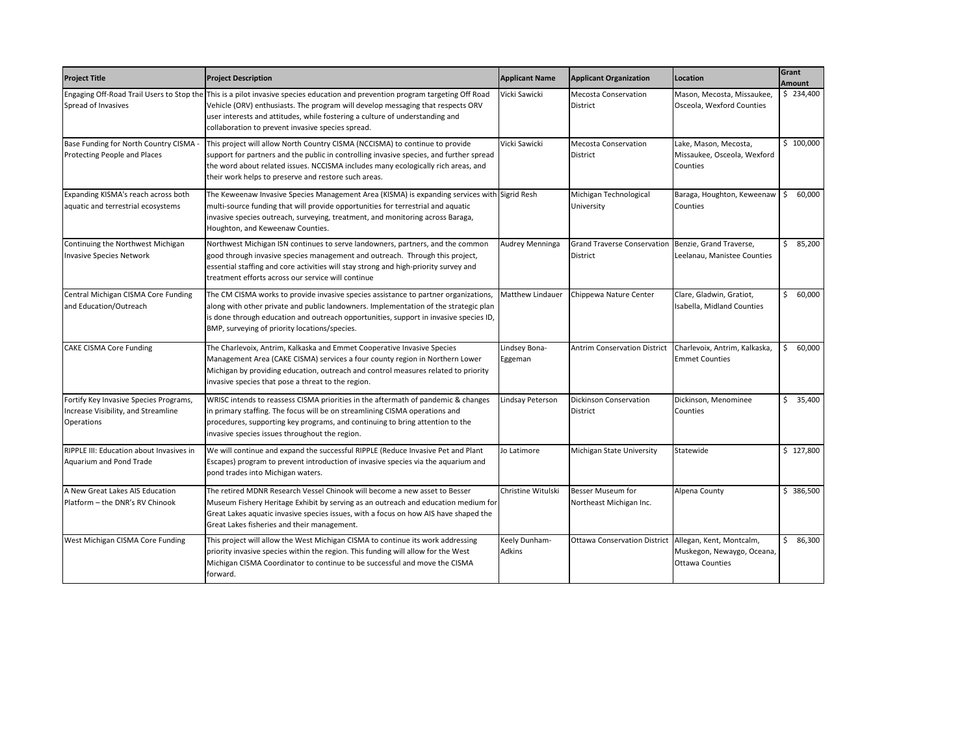| <b>Project Title</b>                                                                        | <b>Project Description</b>                                                                                                                                                                                                                                                                                                                             | <b>Applicant Name</b>    | <b>Applicant Organization</b>                                   | Location                                                                            | Grant<br><b>Amount</b> |
|---------------------------------------------------------------------------------------------|--------------------------------------------------------------------------------------------------------------------------------------------------------------------------------------------------------------------------------------------------------------------------------------------------------------------------------------------------------|--------------------------|-----------------------------------------------------------------|-------------------------------------------------------------------------------------|------------------------|
| Spread of Invasives                                                                         | Engaging Off-Road Trail Users to Stop the This is a pilot invasive species education and prevention program targeting Off Road<br>Vehicle (ORV) enthusiasts. The program will develop messaging that respects ORV<br>user interests and attitudes, while fostering a culture of understanding and<br>collaboration to prevent invasive species spread. | Vicki Sawicki            | <b>Mecosta Conservation</b><br><b>District</b>                  | Mason, Mecosta, Missaukee,<br>Osceola, Wexford Counties                             | \$234,400              |
| Base Funding for North Country CISMA<br>Protecting People and Places                        | This project will allow North Country CISMA (NCCISMA) to continue to provide<br>support for partners and the public in controlling invasive species, and further spread<br>the word about related issues. NCCISMA includes many ecologically rich areas, and<br>their work helps to preserve and restore such areas.                                   | Vicki Sawicki            | <b>Mecosta Conservation</b><br>District                         | Lake, Mason, Mecosta,<br>Missaukee, Osceola, Wexford<br>Counties                    | \$100,000              |
| Expanding KISMA's reach across both<br>aquatic and terrestrial ecosystems                   | The Keweenaw Invasive Species Management Area (KISMA) is expanding services with Sigrid Resh<br>multi-source funding that will provide opportunities for terrestrial and aquatic<br>invasive species outreach, surveying, treatment, and monitoring across Baraga,<br>Houghton, and Keweenaw Counties.                                                 |                          | Michigan Technological<br>University                            | Baraga, Houghton, Keweenaw \$<br>Counties                                           | 60,000                 |
| Continuing the Northwest Michigan<br><b>Invasive Species Network</b>                        | Northwest Michigan ISN continues to serve landowners, partners, and the common<br>good through invasive species management and outreach. Through this project,<br>essential staffing and core activities will stay strong and high-priority survey and<br>treatment efforts across our service will continue                                           | Audrey Menninga          | Grand Traverse Conservation Benzie, Grand Traverse,<br>District | Leelanau, Manistee Counties                                                         | \$3,200                |
| Central Michigan CISMA Core Funding<br>and Education/Outreach                               | The CM CISMA works to provide invasive species assistance to partner organizations,<br>along with other private and public landowners. Implementation of the strategic plan<br>is done through education and outreach opportunities, support in invasive species ID,<br>BMP, surveying of priority locations/species.                                  | Matthew Lindauer         | Chippewa Nature Center                                          | Clare, Gladwin, Gratiot,<br>Isabella, Midland Counties                              | \$<br>60,000           |
| <b>CAKE CISMA Core Funding</b>                                                              | The Charlevoix, Antrim, Kalkaska and Emmet Cooperative Invasive Species<br>Management Area (CAKE CISMA) services a four county region in Northern Lower<br>Michigan by providing education, outreach and control measures related to priority<br>invasive species that pose a threat to the region.                                                    | Lindsey Bona-<br>Eggeman |                                                                 | Antrim Conservation District Charlevoix, Antrim, Kalkaska,<br><b>Emmet Counties</b> | \$<br>60,000           |
| Fortify Key Invasive Species Programs,<br>Increase Visibility, and Streamline<br>Operations | WRISC intends to reassess CISMA priorities in the aftermath of pandemic & changes<br>in primary staffing. The focus will be on streamlining CISMA operations and<br>procedures, supporting key programs, and continuing to bring attention to the<br>invasive species issues throughout the region.                                                    | Lindsay Peterson         | <b>Dickinson Conservation</b><br>District                       | Dickinson, Menominee<br>Counties                                                    | \$35,400               |
| RIPPLE III: Education about Invasives in<br>Aquarium and Pond Trade                         | We will continue and expand the successful RIPPLE (Reduce Invasive Pet and Plant<br>Escapes) program to prevent introduction of invasive species via the aquarium and<br>pond trades into Michigan waters.                                                                                                                                             | Jo Latimore              | Michigan State University                                       | Statewide                                                                           | \$127,800              |
| A New Great Lakes AIS Education<br>Platform - the DNR's RV Chinook                          | The retired MDNR Research Vessel Chinook will become a new asset to Besser<br>Museum Fishery Heritage Exhibit by serving as an outreach and education medium for<br>Great Lakes aquatic invasive species issues, with a focus on how AIS have shaped the<br>Great Lakes fisheries and their management.                                                | Christine Witulski       | Besser Museum for<br>Northeast Michigan Inc.                    | Alpena County                                                                       | \$386,500              |
| West Michigan CISMA Core Funding                                                            | This project will allow the West Michigan CISMA to continue its work addressing<br>priority invasive species within the region. This funding will allow for the West<br>Michigan CISMA Coordinator to continue to be successful and move the CISMA<br>forward.                                                                                         | Keely Dunham-<br>Adkins  | Ottawa Conservation District Allegan, Kent, Montcalm,           | Muskegon, Newaygo, Oceana,<br><b>Ottawa Counties</b>                                | \$<br>86,300           |